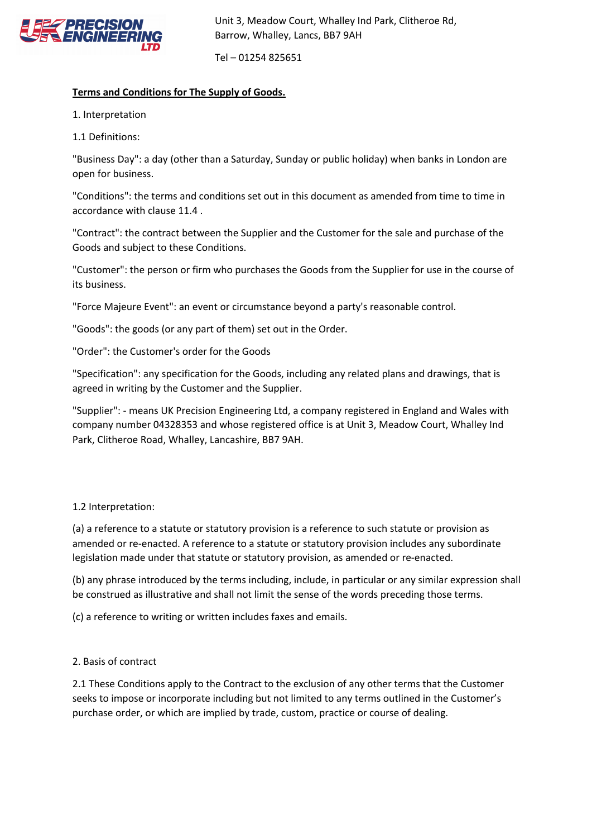

Tel – 01254 825651

## **Terms and Conditions for The Supply of Goods.**

1. Interpretation

1.1 Definitions:

"Business Day": a day (other than a Saturday, Sunday or public holiday) when banks in London are open for business.

"Conditions": the terms and conditions set out in this document as amended from time to time in accordance with clause 11.4 .

"Contract": the contract between the Supplier and the Customer for the sale and purchase of the Goods and subject to these Conditions.

"Customer": the person or firm who purchases the Goods from the Supplier for use in the course of its business.

"Force Majeure Event": an event or circumstance beyond a party's reasonable control.

"Goods": the goods (or any part of them) set out in the Order.

"Order": the Customer's order for the Goods

"Specification": any specification for the Goods, including any related plans and drawings, that is agreed in writing by the Customer and the Supplier.

"Supplier": - means UK Precision Engineering Ltd, a company registered in England and Wales with company number 04328353 and whose registered office is at Unit 3, Meadow Court, Whalley Ind Park, Clitheroe Road, Whalley, Lancashire, BB7 9AH.

## 1.2 Interpretation:

(a) a reference to a statute or statutory provision is a reference to such statute or provision as amended or re-enacted. A reference to a statute or statutory provision includes any subordinate legislation made under that statute or statutory provision, as amended or re-enacted.

(b) any phrase introduced by the terms including, include, in particular or any similar expression shall be construed as illustrative and shall not limit the sense of the words preceding those terms.

(c) a reference to writing or written includes faxes and emails.

## 2. Basis of contract

2.1 These Conditions apply to the Contract to the exclusion of any other terms that the Customer seeks to impose or incorporate including but not limited to any terms outlined in the Customer's purchase order, or which are implied by trade, custom, practice or course of dealing.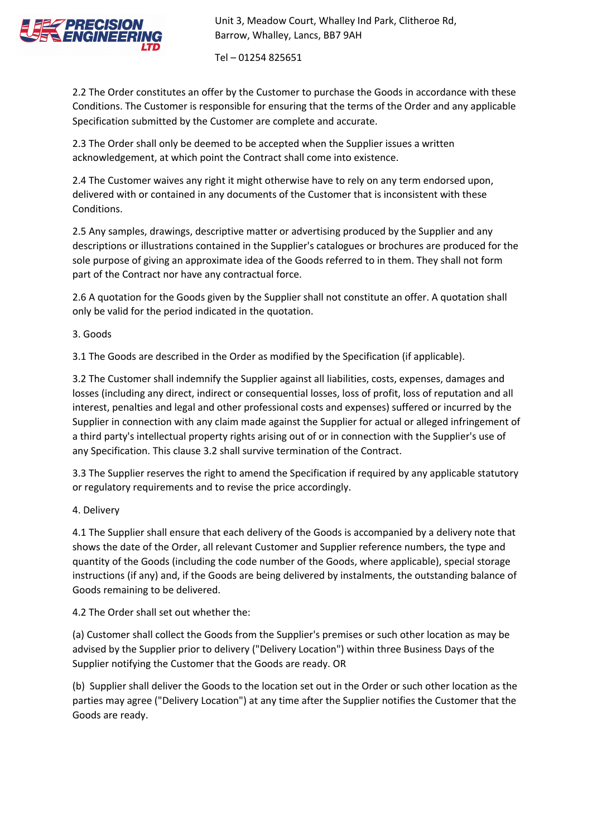

Tel – 01254 825651

2.2 The Order constitutes an offer by the Customer to purchase the Goods in accordance with these Conditions. The Customer is responsible for ensuring that the terms of the Order and any applicable Specification submitted by the Customer are complete and accurate.

2.3 The Order shall only be deemed to be accepted when the Supplier issues a written acknowledgement, at which point the Contract shall come into existence.

2.4 The Customer waives any right it might otherwise have to rely on any term endorsed upon, delivered with or contained in any documents of the Customer that is inconsistent with these Conditions.

2.5 Any samples, drawings, descriptive matter or advertising produced by the Supplier and any descriptions or illustrations contained in the Supplier's catalogues or brochures are produced for the sole purpose of giving an approximate idea of the Goods referred to in them. They shall not form part of the Contract nor have any contractual force.

2.6 A quotation for the Goods given by the Supplier shall not constitute an offer. A quotation shall only be valid for the period indicated in the quotation.

3. Goods

3.1 The Goods are described in the Order as modified by the Specification (if applicable).

3.2 The Customer shall indemnify the Supplier against all liabilities, costs, expenses, damages and losses (including any direct, indirect or consequential losses, loss of profit, loss of reputation and all interest, penalties and legal and other professional costs and expenses) suffered or incurred by the Supplier in connection with any claim made against the Supplier for actual or alleged infringement of a third party's intellectual property rights arising out of or in connection with the Supplier's use of any Specification. This clause 3.2 shall survive termination of the Contract.

3.3 The Supplier reserves the right to amend the Specification if required by any applicable statutory or regulatory requirements and to revise the price accordingly.

4. Delivery

4.1 The Supplier shall ensure that each delivery of the Goods is accompanied by a delivery note that shows the date of the Order, all relevant Customer and Supplier reference numbers, the type and quantity of the Goods (including the code number of the Goods, where applicable), special storage instructions (if any) and, if the Goods are being delivered by instalments, the outstanding balance of Goods remaining to be delivered.

4.2 The Order shall set out whether the:

(a) Customer shall collect the Goods from the Supplier's premises or such other location as may be advised by the Supplier prior to delivery ("Delivery Location") within three Business Days of the Supplier notifying the Customer that the Goods are ready. OR

(b) Supplier shall deliver the Goods to the location set out in the Order or such other location as the parties may agree ("Delivery Location") at any time after the Supplier notifies the Customer that the Goods are ready.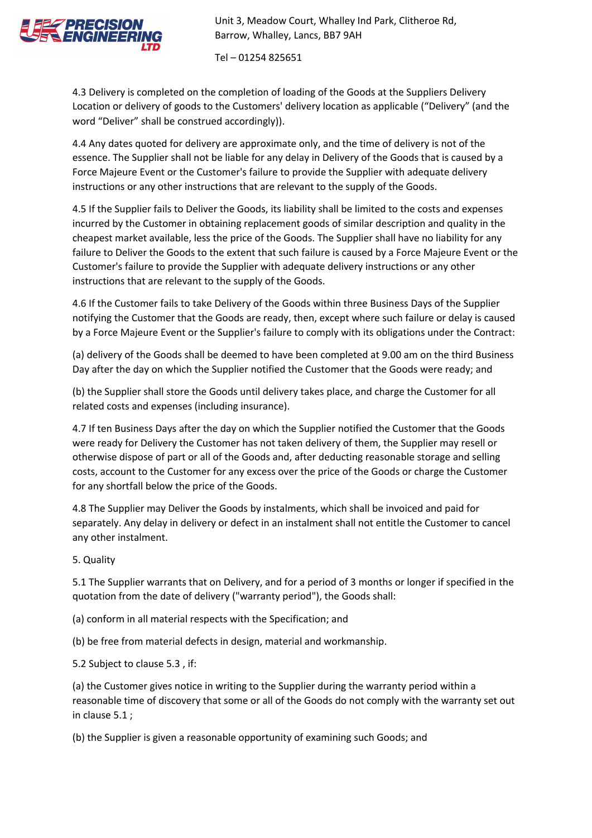

Tel – 01254 825651

4.3 Delivery is completed on the completion of loading of the Goods at the Suppliers Delivery Location or delivery of goods to the Customers' delivery location as applicable ("Delivery" (and the word "Deliver" shall be construed accordingly)).

4.4 Any dates quoted for delivery are approximate only, and the time of delivery is not of the essence. The Supplier shall not be liable for any delay in Delivery of the Goods that is caused by a Force Majeure Event or the Customer's failure to provide the Supplier with adequate delivery instructions or any other instructions that are relevant to the supply of the Goods.

4.5 If the Supplier fails to Deliver the Goods, its liability shall be limited to the costs and expenses incurred by the Customer in obtaining replacement goods of similar description and quality in the cheapest market available, less the price of the Goods. The Supplier shall have no liability for any failure to Deliver the Goods to the extent that such failure is caused by a Force Majeure Event or the Customer's failure to provide the Supplier with adequate delivery instructions or any other instructions that are relevant to the supply of the Goods.

4.6 If the Customer fails to take Delivery of the Goods within three Business Days of the Supplier notifying the Customer that the Goods are ready, then, except where such failure or delay is caused by a Force Majeure Event or the Supplier's failure to comply with its obligations under the Contract:

(a) delivery of the Goods shall be deemed to have been completed at 9.00 am on the third Business Day after the day on which the Supplier notified the Customer that the Goods were ready; and

(b) the Supplier shall store the Goods until delivery takes place, and charge the Customer for all related costs and expenses (including insurance).

4.7 If ten Business Days after the day on which the Supplier notified the Customer that the Goods were ready for Delivery the Customer has not taken delivery of them, the Supplier may resell or otherwise dispose of part or all of the Goods and, after deducting reasonable storage and selling costs, account to the Customer for any excess over the price of the Goods or charge the Customer for any shortfall below the price of the Goods.

4.8 The Supplier may Deliver the Goods by instalments, which shall be invoiced and paid for separately. Any delay in delivery or defect in an instalment shall not entitle the Customer to cancel any other instalment.

5. Quality

5.1 The Supplier warrants that on Delivery, and for a period of 3 months or longer if specified in the quotation from the date of delivery ("warranty period"), the Goods shall:

(a) conform in all material respects with the Specification; and

(b) be free from material defects in design, material and workmanship.

5.2 Subject to clause 5.3 , if:

(a) the Customer gives notice in writing to the Supplier during the warranty period within a reasonable time of discovery that some or all of the Goods do not comply with the warranty set out in clause 5.1 ;

(b) the Supplier is given a reasonable opportunity of examining such Goods; and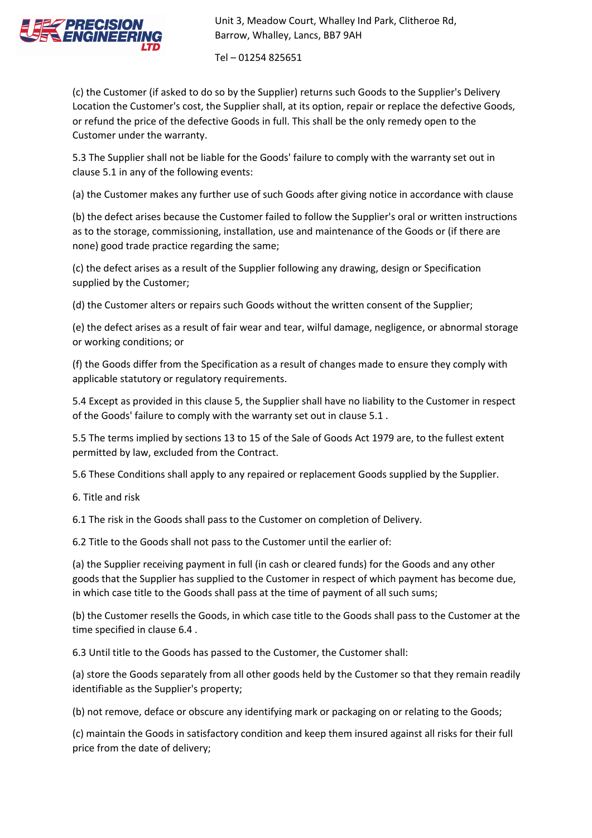

Tel – 01254 825651

(c) the Customer (if asked to do so by the Supplier) returns such Goods to the Supplier's Delivery Location the Customer's cost, the Supplier shall, at its option, repair or replace the defective Goods, or refund the price of the defective Goods in full. This shall be the only remedy open to the Customer under the warranty.

5.3 The Supplier shall not be liable for the Goods' failure to comply with the warranty set out in clause 5.1 in any of the following events:

(a) the Customer makes any further use of such Goods after giving notice in accordance with clause

(b) the defect arises because the Customer failed to follow the Supplier's oral or written instructions as to the storage, commissioning, installation, use and maintenance of the Goods or (if there are none) good trade practice regarding the same;

(c) the defect arises as a result of the Supplier following any drawing, design or Specification supplied by the Customer;

(d) the Customer alters or repairs such Goods without the written consent of the Supplier;

(e) the defect arises as a result of fair wear and tear, wilful damage, negligence, or abnormal storage or working conditions; or

(f) the Goods differ from the Specification as a result of changes made to ensure they comply with applicable statutory or regulatory requirements.

5.4 Except as provided in this clause 5, the Supplier shall have no liability to the Customer in respect of the Goods' failure to comply with the warranty set out in clause 5.1 .

5.5 The terms implied by sections 13 to 15 of the Sale of Goods Act 1979 are, to the fullest extent permitted by law, excluded from the Contract.

5.6 These Conditions shall apply to any repaired or replacement Goods supplied by the Supplier.

6. Title and risk

6.1 The risk in the Goods shall pass to the Customer on completion of Delivery.

6.2 Title to the Goods shall not pass to the Customer until the earlier of:

(a) the Supplier receiving payment in full (in cash or cleared funds) for the Goods and any other goods that the Supplier has supplied to the Customer in respect of which payment has become due, in which case title to the Goods shall pass at the time of payment of all such sums;

(b) the Customer resells the Goods, in which case title to the Goods shall pass to the Customer at the time specified in clause 6.4 .

6.3 Until title to the Goods has passed to the Customer, the Customer shall:

(a) store the Goods separately from all other goods held by the Customer so that they remain readily identifiable as the Supplier's property;

(b) not remove, deface or obscure any identifying mark or packaging on or relating to the Goods;

(c) maintain the Goods in satisfactory condition and keep them insured against all risks for their full price from the date of delivery;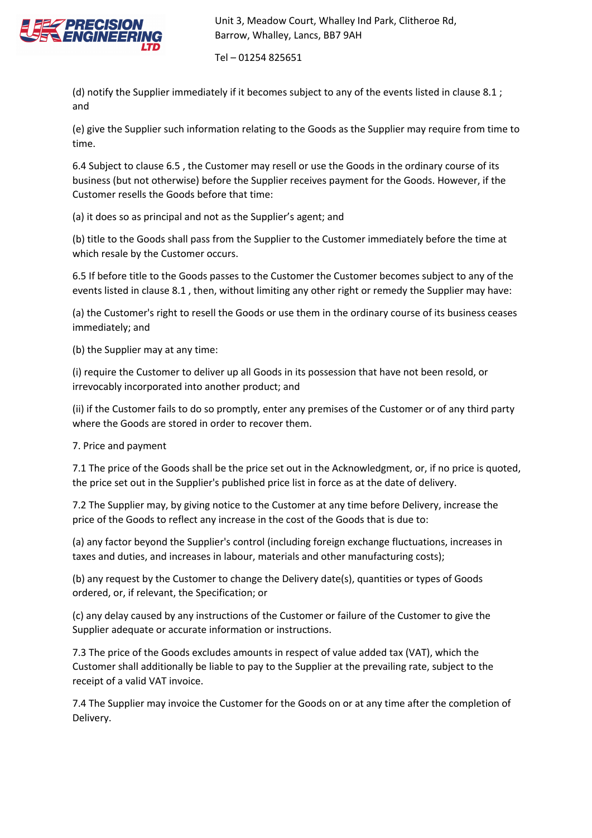

Tel – 01254 825651

(d) notify the Supplier immediately if it becomes subject to any of the events listed in clause 8.1 ; and

(e) give the Supplier such information relating to the Goods as the Supplier may require from time to time.

6.4 Subject to clause 6.5 , the Customer may resell or use the Goods in the ordinary course of its business (but not otherwise) before the Supplier receives payment for the Goods. However, if the Customer resells the Goods before that time:

(a) it does so as principal and not as the Supplier's agent; and

(b) title to the Goods shall pass from the Supplier to the Customer immediately before the time at which resale by the Customer occurs.

6.5 If before title to the Goods passes to the Customer the Customer becomes subject to any of the events listed in clause 8.1 , then, without limiting any other right or remedy the Supplier may have:

(a) the Customer's right to resell the Goods or use them in the ordinary course of its business ceases immediately; and

(b) the Supplier may at any time:

(i) require the Customer to deliver up all Goods in its possession that have not been resold, or irrevocably incorporated into another product; and

(ii) if the Customer fails to do so promptly, enter any premises of the Customer or of any third party where the Goods are stored in order to recover them.

7. Price and payment

7.1 The price of the Goods shall be the price set out in the Acknowledgment, or, if no price is quoted, the price set out in the Supplier's published price list in force as at the date of delivery.

7.2 The Supplier may, by giving notice to the Customer at any time before Delivery, increase the price of the Goods to reflect any increase in the cost of the Goods that is due to:

(a) any factor beyond the Supplier's control (including foreign exchange fluctuations, increases in taxes and duties, and increases in labour, materials and other manufacturing costs);

(b) any request by the Customer to change the Delivery date(s), quantities or types of Goods ordered, or, if relevant, the Specification; or

(c) any delay caused by any instructions of the Customer or failure of the Customer to give the Supplier adequate or accurate information or instructions.

7.3 The price of the Goods excludes amounts in respect of value added tax (VAT), which the Customer shall additionally be liable to pay to the Supplier at the prevailing rate, subject to the receipt of a valid VAT invoice.

7.4 The Supplier may invoice the Customer for the Goods on or at any time after the completion of Delivery.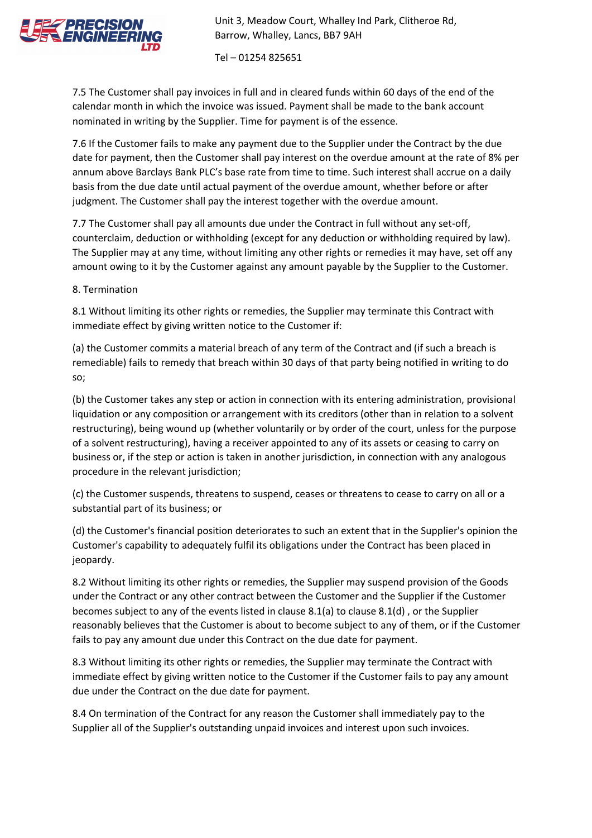

Tel – 01254 825651

7.5 The Customer shall pay invoices in full and in cleared funds within 60 days of the end of the calendar month in which the invoice was issued. Payment shall be made to the bank account nominated in writing by the Supplier. Time for payment is of the essence.

7.6 If the Customer fails to make any payment due to the Supplier under the Contract by the due date for payment, then the Customer shall pay interest on the overdue amount at the rate of 8% per annum above Barclays Bank PLC's base rate from time to time. Such interest shall accrue on a daily basis from the due date until actual payment of the overdue amount, whether before or after judgment. The Customer shall pay the interest together with the overdue amount.

7.7 The Customer shall pay all amounts due under the Contract in full without any set-off, counterclaim, deduction or withholding (except for any deduction or withholding required by law). The Supplier may at any time, without limiting any other rights or remedies it may have, set off any amount owing to it by the Customer against any amount payable by the Supplier to the Customer.

8. Termination

8.1 Without limiting its other rights or remedies, the Supplier may terminate this Contract with immediate effect by giving written notice to the Customer if:

(a) the Customer commits a material breach of any term of the Contract and (if such a breach is remediable) fails to remedy that breach within 30 days of that party being notified in writing to do so;

(b) the Customer takes any step or action in connection with its entering administration, provisional liquidation or any composition or arrangement with its creditors (other than in relation to a solvent restructuring), being wound up (whether voluntarily or by order of the court, unless for the purpose of a solvent restructuring), having a receiver appointed to any of its assets or ceasing to carry on business or, if the step or action is taken in another jurisdiction, in connection with any analogous procedure in the relevant jurisdiction;

(c) the Customer suspends, threatens to suspend, ceases or threatens to cease to carry on all or a substantial part of its business; or

(d) the Customer's financial position deteriorates to such an extent that in the Supplier's opinion the Customer's capability to adequately fulfil its obligations under the Contract has been placed in jeopardy.

8.2 Without limiting its other rights or remedies, the Supplier may suspend provision of the Goods under the Contract or any other contract between the Customer and the Supplier if the Customer becomes subject to any of the events listed in clause 8.1(a) to clause 8.1(d) , or the Supplier reasonably believes that the Customer is about to become subject to any of them, or if the Customer fails to pay any amount due under this Contract on the due date for payment.

8.3 Without limiting its other rights or remedies, the Supplier may terminate the Contract with immediate effect by giving written notice to the Customer if the Customer fails to pay any amount due under the Contract on the due date for payment.

8.4 On termination of the Contract for any reason the Customer shall immediately pay to the Supplier all of the Supplier's outstanding unpaid invoices and interest upon such invoices.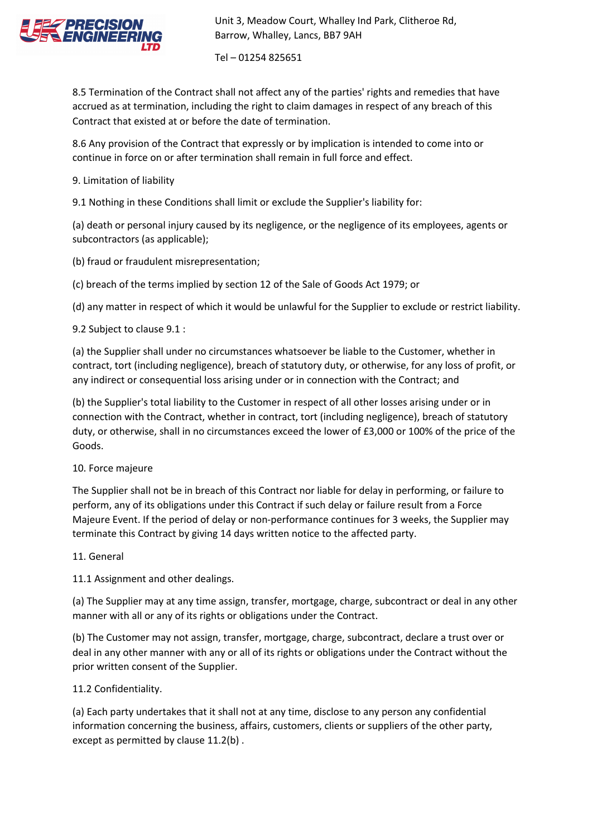

Tel – 01254 825651

8.5 Termination of the Contract shall not affect any of the parties' rights and remedies that have accrued as at termination, including the right to claim damages in respect of any breach of this Contract that existed at or before the date of termination.

8.6 Any provision of the Contract that expressly or by implication is intended to come into or continue in force on or after termination shall remain in full force and effect.

9. Limitation of liability

9.1 Nothing in these Conditions shall limit or exclude the Supplier's liability for:

(a) death or personal injury caused by its negligence, or the negligence of its employees, agents or subcontractors (as applicable);

(b) fraud or fraudulent misrepresentation;

(c) breach of the terms implied by section 12 of the Sale of Goods Act 1979; or

(d) any matter in respect of which it would be unlawful for the Supplier to exclude or restrict liability.

9.2 Subject to clause 9.1 :

(a) the Supplier shall under no circumstances whatsoever be liable to the Customer, whether in contract, tort (including negligence), breach of statutory duty, or otherwise, for any loss of profit, or any indirect or consequential loss arising under or in connection with the Contract; and

(b) the Supplier's total liability to the Customer in respect of all other losses arising under or in connection with the Contract, whether in contract, tort (including negligence), breach of statutory duty, or otherwise, shall in no circumstances exceed the lower of £3,000 or 100% of the price of the Goods.

10. Force majeure

The Supplier shall not be in breach of this Contract nor liable for delay in performing, or failure to perform, any of its obligations under this Contract if such delay or failure result from a Force Majeure Event. If the period of delay or non-performance continues for 3 weeks, the Supplier may terminate this Contract by giving 14 days written notice to the affected party.

11. General

11.1 Assignment and other dealings.

(a) The Supplier may at any time assign, transfer, mortgage, charge, subcontract or deal in any other manner with all or any of its rights or obligations under the Contract.

(b) The Customer may not assign, transfer, mortgage, charge, subcontract, declare a trust over or deal in any other manner with any or all of its rights or obligations under the Contract without the prior written consent of the Supplier.

11.2 Confidentiality.

(a) Each party undertakes that it shall not at any time, disclose to any person any confidential information concerning the business, affairs, customers, clients or suppliers of the other party, except as permitted by clause 11.2(b) .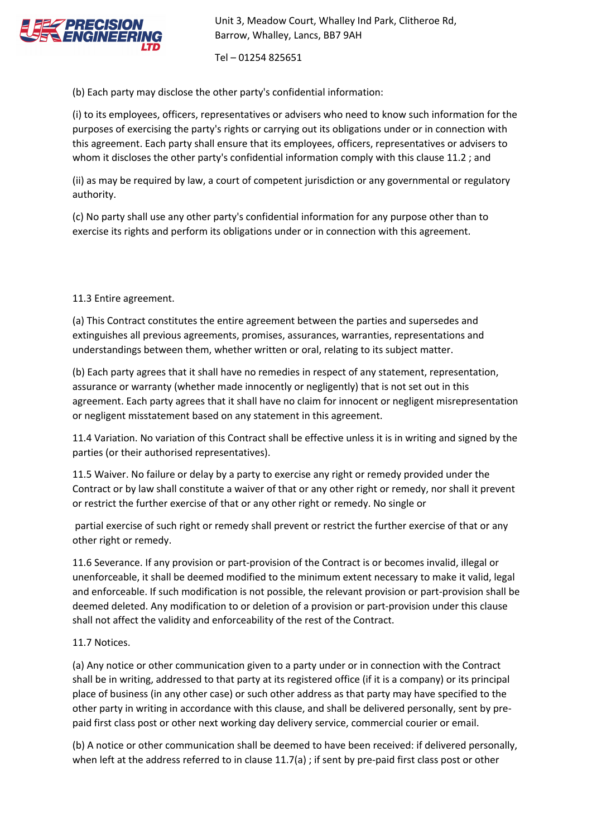

Tel – 01254 825651

(b) Each party may disclose the other party's confidential information:

(i) to its employees, officers, representatives or advisers who need to know such information for the purposes of exercising the party's rights or carrying out its obligations under or in connection with this agreement. Each party shall ensure that its employees, officers, representatives or advisers to whom it discloses the other party's confidential information comply with this clause 11.2 ; and

(ii) as may be required by law, a court of competent jurisdiction or any governmental or regulatory authority.

(c) No party shall use any other party's confidential information for any purpose other than to exercise its rights and perform its obligations under or in connection with this agreement.

11.3 Entire agreement.

(a) This Contract constitutes the entire agreement between the parties and supersedes and extinguishes all previous agreements, promises, assurances, warranties, representations and understandings between them, whether written or oral, relating to its subject matter.

(b) Each party agrees that it shall have no remedies in respect of any statement, representation, assurance or warranty (whether made innocently or negligently) that is not set out in this agreement. Each party agrees that it shall have no claim for innocent or negligent misrepresentation or negligent misstatement based on any statement in this agreement.

11.4 Variation. No variation of this Contract shall be effective unless it is in writing and signed by the parties (or their authorised representatives).

11.5 Waiver. No failure or delay by a party to exercise any right or remedy provided under the Contract or by law shall constitute a waiver of that or any other right or remedy, nor shall it prevent or restrict the further exercise of that or any other right or remedy. No single or

partial exercise of such right or remedy shall prevent or restrict the further exercise of that or any other right or remedy.

11.6 Severance. If any provision or part-provision of the Contract is or becomes invalid, illegal or unenforceable, it shall be deemed modified to the minimum extent necessary to make it valid, legal and enforceable. If such modification is not possible, the relevant provision or part-provision shall be deemed deleted. Any modification to or deletion of a provision or part-provision under this clause shall not affect the validity and enforceability of the rest of the Contract.

## 11.7 Notices.

(a) Any notice or other communication given to a party under or in connection with the Contract shall be in writing, addressed to that party at its registered office (if it is a company) or its principal place of business (in any other case) or such other address as that party may have specified to the other party in writing in accordance with this clause, and shall be delivered personally, sent by prepaid first class post or other next working day delivery service, commercial courier or email.

(b) A notice or other communication shall be deemed to have been received: if delivered personally, when left at the address referred to in clause 11.7(a) ; if sent by pre-paid first class post or other